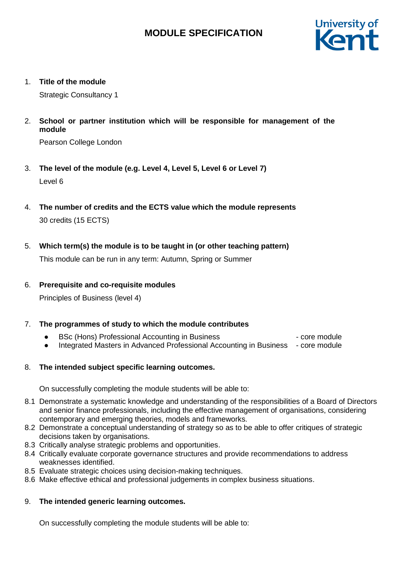

1. **Title of the module**

Strategic Consultancy 1

2. **School or partner institution which will be responsible for management of the module**

Pearson College London

- 3. **The level of the module (e.g. Level 4, Level 5, Level 6 or Level 7)** Level 6
- 4. **The number of credits and the ECTS value which the module represents** 30 credits (15 ECTS)
- 5. **Which term(s) the module is to be taught in (or other teaching pattern)**

This module can be run in any term: Autumn, Spring or Summer

## 6. **Prerequisite and co-requisite modules**

Principles of Business (level 4)

## 7. **The programmes of study to which the module contributes**

- BSc (Hons) Professional Accounting in Business → core module
- Integrated Masters in Advanced Professional Accounting in Business core module

## 8. **The intended subject specific learning outcomes.**

On successfully completing the module students will be able to:

- 8.1 Demonstrate a systematic knowledge and understanding of the responsibilities of a Board of Directors and senior finance professionals, including the effective management of organisations, considering contemporary and emerging theories, models and frameworks.
- 8.2 Demonstrate a conceptual understanding of strategy so as to be able to offer critiques of strategic decisions taken by organisations.
- 8.3 Critically analyse strategic problems and opportunities.
- 8.4 Critically evaluate corporate governance structures and provide recommendations to address weaknesses identified.
- 8.5 Evaluate strategic choices using decision-making techniques.
- 8.6 Make effective ethical and professional judgements in complex business situations.

## 9. **The intended generic learning outcomes.**

On successfully completing the module students will be able to: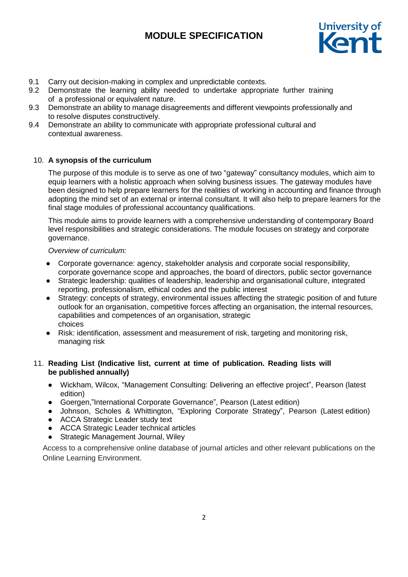

- 9.1 Carry out decision-making in complex and unpredictable contexts.
- 9.2 Demonstrate the learning ability needed to undertake appropriate further training of a professional or equivalent nature.
- 9.3 Demonstrate an ability to manage disagreements and different viewpoints professionally and to resolve disputes constructively.
- 9.4 Demonstrate an ability to communicate with appropriate professional cultural and contextual awareness.

### 10. **A synopsis of the curriculum**

The purpose of this module is to serve as one of two "gateway" consultancy modules, which aim to equip learners with a holistic approach when solving business issues. The gateway modules have been designed to help prepare learners for the realities of working in accounting and finance through adopting the mind set of an external or internal consultant. It will also help to prepare learners for the final stage modules of professional accountancy qualifications.

This module aims to provide learners with a comprehensive understanding of contemporary Board level responsibilities and strategic considerations. The module focuses on strategy and corporate governance.

#### *Overview of curriculum:*

- Corporate governance: agency, stakeholder analysis and corporate social responsibility, corporate governance scope and approaches, the board of directors, public sector governance
- Strategic leadership: qualities of leadership, leadership and organisational culture, integrated reporting, professionalism, ethical codes and the public interest
- Strategy: concepts of strategy, environmental issues affecting the strategic position of and future outlook for an organisation, competitive forces affecting an organisation, the internal resources, capabilities and competences of an organisation, strategic choices
- Risk: identification, assessment and measurement of risk, targeting and monitoring risk, managing risk

### 11. **Reading List (Indicative list, current at time of publication. Reading lists will be published annually)**

- Wickham, Wilcox, "Management Consulting: Delivering an effective project", Pearson (latest edition)
- Goergen,"International Corporate Governance", Pearson (Latest edition)
- Johnson, Scholes & Whittington, "Exploring Corporate Strategy", Pearson (Latest edition)
- ACCA Strategic Leader study text
- ACCA Strategic Leader technical articles
- Strategic Management Journal, Wiley

Access to a comprehensive online database of journal articles and other relevant publications on the Online Learning Environment.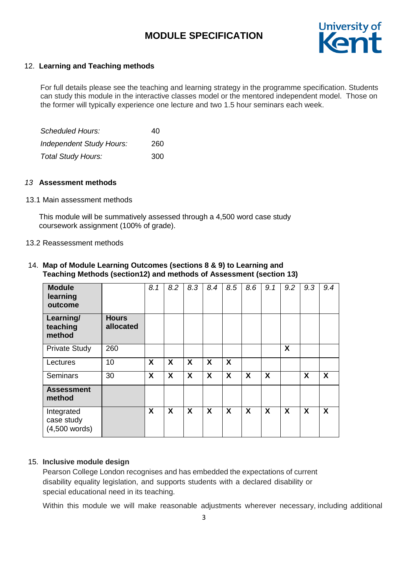

### 12. **Learning and Teaching methods**

For full details please see the teaching and learning strategy in the programme specification. Students can study this module in the interactive classes model or the mentored independent model. Those on the former will typically experience one lecture and two 1.5 hour seminars each week.

| Scheduled Hours:                | 40  |
|---------------------------------|-----|
| <b>Independent Study Hours:</b> | 260 |
| <b>Total Study Hours:</b>       | 300 |

#### *13* **Assessment methods**

#### 13.1 Main assessment methods

This module will be summatively assessed through a 4,500 word case study coursework assignment (100% of grade).

#### 13.2 Reassessment methods

## 14. **Map of Module Learning Outcomes (sections 8 & 9) to Learning and Teaching Methods (section12) and methods of Assessment (section 13)**

| <b>Module</b><br>learning<br>outcome        |                           | 8.1 | 8.2              | 8.3                       | 8.4 | 8.5 | 8.6 | 9.1 | 9.2 | 9.3                       | 9.4              |
|---------------------------------------------|---------------------------|-----|------------------|---------------------------|-----|-----|-----|-----|-----|---------------------------|------------------|
| Learning/<br>teaching<br>method             | <b>Hours</b><br>allocated |     |                  |                           |     |     |     |     |     |                           |                  |
| <b>Private Study</b>                        | 260                       |     |                  |                           |     |     |     |     | X   |                           |                  |
| Lectures                                    | 10                        | X   | $\boldsymbol{X}$ | $\boldsymbol{\mathsf{X}}$ | X   | X   |     |     |     |                           |                  |
| <b>Seminars</b>                             | 30                        | X   | X                | X                         | X   | X   | X   | X   |     | $\boldsymbol{\mathsf{X}}$ | $\boldsymbol{X}$ |
| <b>Assessment</b><br>method                 |                           |     |                  |                           |     |     |     |     |     |                           |                  |
| Integrated<br>case study<br>$(4,500$ words) |                           | X   | $\boldsymbol{X}$ | X                         | X   | X   | X   | X   | X   | $\boldsymbol{\mathsf{X}}$ | $\boldsymbol{X}$ |

#### 15. **Inclusive module design**

Pearson College London recognises and has embedded the expectations of current disability equality legislation, and supports students with a declared disability or special educational need in its teaching.

Within this module we will make reasonable adjustments wherever necessary, including additional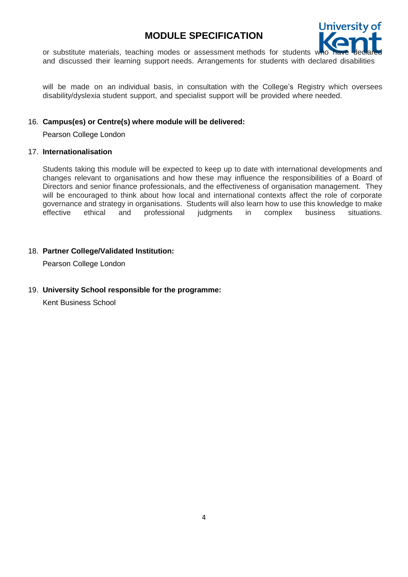

or substitute materials, teaching modes or assessment methods for students w and discussed their learning support needs. Arrangements for students with declared disabilities

will be made on an individual basis, in consultation with the College's Registry which oversees disability/dyslexia student support, and specialist support will be provided where needed.

## 16. **Campus(es) or Centre(s) where module will be delivered:**

Pearson College London

#### 17. **Internationalisation**

Students taking this module will be expected to keep up to date with international developments and changes relevant to organisations and how these may influence the responsibilities of a Board of Directors and senior finance professionals, and the effectiveness of organisation management. They will be encouraged to think about how local and international contexts affect the role of corporate governance and strategy in organisations. Students will also learn how to use this knowledge to make effective ethical and professional judgments in complex business situations.

## 18. **Partner College/Validated Institution:**

Pearson College London

## 19. **University School responsible for the programme:**

Kent Business School